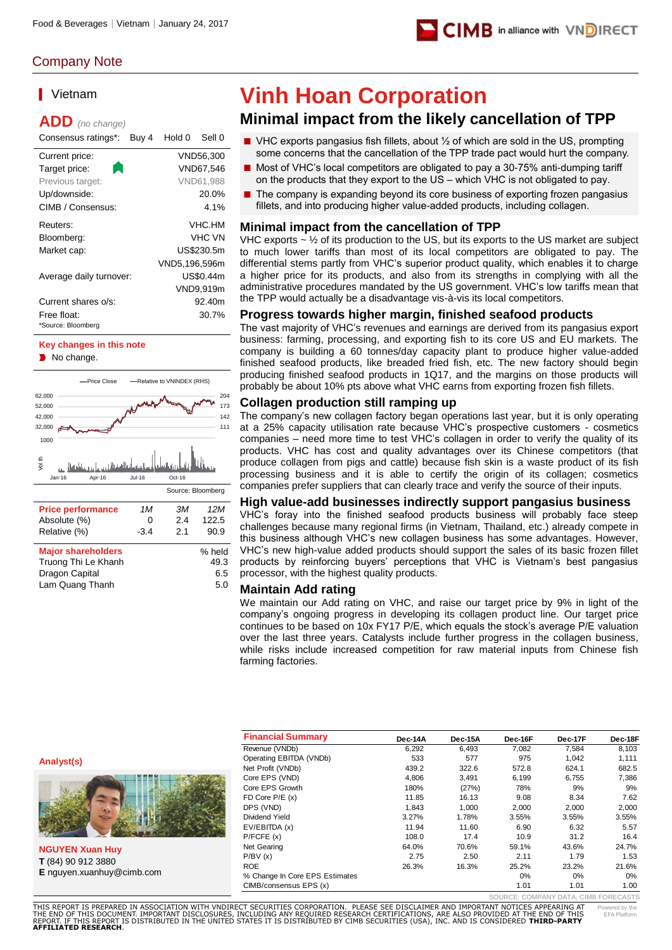

# Company Note

# ▎Vietnam

**ADD** *(no change)*

| Consensus ratings*:               | Buy 4 | Hold 0        | Sell 0     |
|-----------------------------------|-------|---------------|------------|
| Current price:                    |       |               | VND56,300  |
| Target price:                     |       |               | VND67.546  |
| Previous target:                  |       |               | VND61.988  |
| Up/downside:                      |       |               | 20.0%      |
| CIMB / Consensus:                 |       |               | 4.1%       |
| Reuters:                          |       |               | VHC.HM     |
| Bloomberg:                        |       |               | VHC VN     |
| Market cap:                       |       |               | US\$230.5m |
|                                   |       | VND5,196,596m |            |
| Average daily turnover:           |       |               | US\$0.44m  |
|                                   |       |               | VND9,919m  |
| Current shares o/s:               |       |               | 92.40m     |
| Free float:<br>*Source: Bloomberg |       |               | 30.7%      |

# **Key changes in this note**

No change.



| Relative (%)              | $-3.4$ | 21 | 90.9   |
|---------------------------|--------|----|--------|
| <b>Major shareholders</b> |        |    | % held |
| Truong Thi Le Khanh       |        |    | 49.3   |
| Dragon Capital            |        |    | 6.5    |
| Lam Quang Thanh           |        |    | 5.0    |
|                           |        |    |        |

# **Vinh Hoan Corporation**

# **Minimal impact from the likely cancellation of TPP**

- VHC exports pangasius fish fillets, about ½ of which are sold in the US, prompting some concerns that the cancellation of the TPP trade pact would hurt the company.
- Most of VHC's local competitors are obligated to pay a 30-75% anti-dumping tariff on the products that they export to the US – which VHC is not obligated to pay.
- The company is expanding beyond its core business of exporting frozen pangasius fillets, and into producing higher value-added products, including collagen.

# **Minimal impact from the cancellation of TPP**

VHC exports  $\sim$  1/2 of its production to the US, but its exports to the US market are subject to much lower tariffs than most of its local competitors are obligated to pay. The differential stems partly from VHC's superior product quality, which enables it to charge a higher price for its products, and also from its strengths in complying with all the administrative procedures mandated by the US government. VHC's low tariffs mean that the TPP would actually be a disadvantage vis-à-vis its local competitors.

# **Progress towards higher margin, finished seafood products**

The vast majority of VHC's revenues and earnings are derived from its pangasius export business: farming, processing, and exporting fish to its core US and EU markets. The company is building a 60 tonnes/day capacity plant to produce higher value-added finished seafood products, like breaded fried fish, etc. The new factory should begin producing finished seafood products in 1Q17, and the margins on those products will probably be about 10% pts above what VHC earns from exporting frozen fish fillets.

# **Collagen production still ramping up**

The company's new collagen factory began operations last year, but it is only operating at a 25% capacity utilisation rate because VHC's prospective customers - cosmetics companies – need more time to test VHC's collagen in order to verify the quality of its products. VHC has cost and quality advantages over its Chinese competitors (that produce collagen from pigs and cattle) because fish skin is a waste product of its fish processing business and it is able to certify the origin of its collagen; cosmetics companies prefer suppliers that can clearly trace and verify the source of their inputs.

# **High value-add businesses indirectly support pangasius business**

VHC's foray into the finished seafood products business will probably face steep challenges because many regional firms (in Vietnam, Thailand, etc.) already compete in this business although VHC's new collagen business has some advantages. However, VHC's new high-value added products should support the sales of its basic frozen fillet products by reinforcing buyers' perceptions that VHC is Vietnam's best pangasius processor, with the highest quality products.

# **Maintain Add rating**

We maintain our Add rating on VHC, and raise our target price by 9% in light of the company's ongoing progress in developing its collagen product line. Our target price continues to be based on 10x FY17 P/E, which equals the stock's average P/E valuation over the last three years. Catalysts include further progress in the collagen business, while risks include increased competition for raw material inputs from Chinese fish farming factories.

**Analyst(s)**



**NGUYEN Xuan Huy T** (84) 90 912 3880 **E** nguyen.xuanhuy@cimb.com

| <b>Financial Summary</b>       | Dec-14A | Dec-15A | Dec-16F | Dec-17F | Dec-18F |
|--------------------------------|---------|---------|---------|---------|---------|
| Revenue (VNDb)                 | 6,292   | 6.493   | 7.082   | 7.584   | 8.103   |
| Operating EBITDA (VNDb)        | 533     | 577     | 975     | 1.042   | 1.111   |
| Net Profit (VNDb)              | 439.2   | 322.6   | 572.8   | 624.1   | 682.5   |
| Core EPS (VND)                 | 4.806   | 3.491   | 6.199   | 6.755   | 7,386   |
| Core EPS Growth                | 180%    | (27%)   | 78%     | 9%      | 9%      |
| FD Core $P/E(x)$               | 11.85   | 16.13   | 9.08    | 8.34    | 7.62    |
| DPS (VND)                      | 1,843   | 1,000   | 2,000   | 2,000   | 2,000   |
| Dividend Yield                 | 3.27%   | 1.78%   | 3.55%   | 3.55%   | 3.55%   |
| EV/EBITDA (x)                  | 11.94   | 11.60   | 6.90    | 6.32    | 5.57    |
| P/FCFE(x)                      | 108.0   | 17.4    | 10.9    | 31.2    | 16.4    |
| Net Gearing                    | 64.0%   | 70.6%   | 59.1%   | 43.6%   | 24.7%   |
| P/BV(x)                        | 2.75    | 2.50    | 2.11    | 1.79    | 1.53    |
| <b>ROE</b>                     | 26.3%   | 16.3%   | 25.2%   | 23.2%   | 21.6%   |
| % Change In Core EPS Estimates |         |         | $0\%$   | 0%      | 0%      |
| CIMB/consensus EPS (x)         |         |         | 1.01    | 1.01    | 1.00    |

vered by the OMPANY DATA, CIMB FORECASTS

EFA Platform

THIS REPORT IS PREPARED IN ASSOCIATION WITH VNDIRECT SECURITIES CORPORATION. PLEASE SEE DISCLAIMER AND IMPORTANT NOTICES APPEARING AT<br>THE END OF THIS DOCUMENT. IMPORTANT DISCLOSURES, INCLUDING ANY REQUIRED RESEARCH CERTIF THIS DOCUMENT. IMPORTANT DISCLOSURES, INCLUDING ANY REQUIRED RESEARCH CERTIFICATIONS, ARE ALSO PROVIDED AT THE END OF THIS<br>THIS REPORT IS DISTRIBUTED IN THE UNITED STATES IT IS DISTRIBUTED BY CIMB SECURITIES (USA), INC. AN **AFFILIATED RESEARCH**.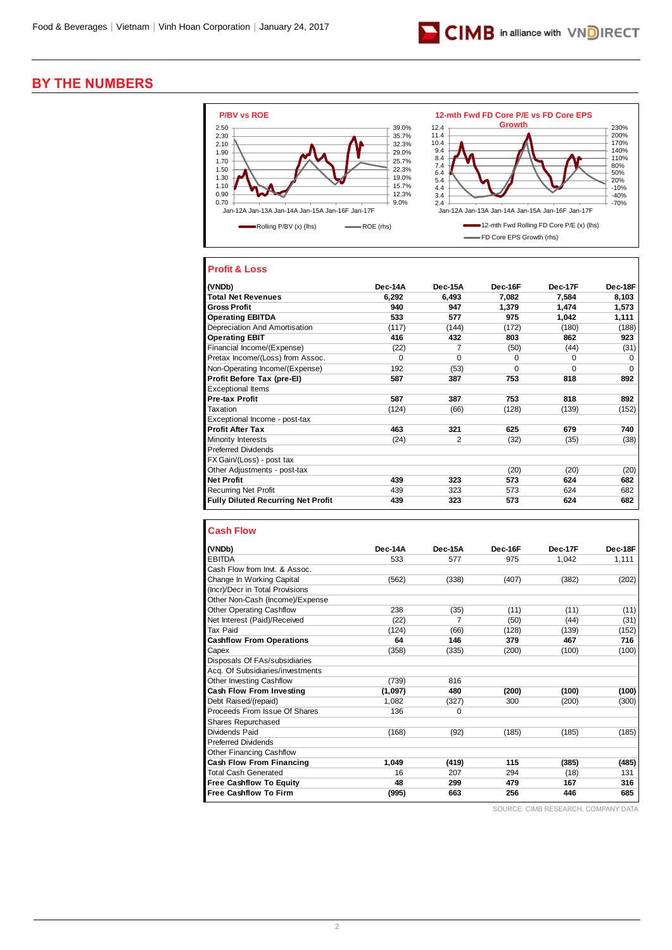

# **BY THE NUMBERS**



# **Profit & Loss**

| (VNDb)                                    | Dec-14A | Dec-15A | Dec-16F  | Dec-17F  | Dec-18F  |
|-------------------------------------------|---------|---------|----------|----------|----------|
| <b>Total Net Revenues</b>                 | 6,292   | 6,493   | 7,082    | 7,584    | 8,103    |
| <b>Gross Profit</b>                       | 940     | 947     | 1.379    | 1.474    | 1,573    |
| <b>Operating EBITDA</b>                   | 533     | 577     | 975      | 1,042    | 1,111    |
| Depreciation And Amortisation             | (117)   | (144)   | (172)    | (180)    | (188)    |
| <b>Operating EBIT</b>                     | 416     | 432     | 803      | 862      | 923      |
| Financial Income/(Expense)                | (22)    | 7       | (50)     | (44)     | (31)     |
| Pretax Income/(Loss) from Assoc.          | 0       | 0       | 0        | $\Omega$ | $\Omega$ |
| Non-Operating Income/(Expense)            | 192     | (53)    | $\Omega$ | $\Omega$ | $\Omega$ |
| Profit Before Tax (pre-EI)                | 587     | 387     | 753      | 818      | 892      |
| <b>Exceptional Items</b>                  |         |         |          |          |          |
| <b>Pre-tax Profit</b>                     | 587     | 387     | 753      | 818      | 892      |
| Taxation                                  | (124)   | (66)    | (128)    | (139)    | (152)    |
| Exceptional Income - post-tax             |         |         |          |          |          |
| <b>Profit After Tax</b>                   | 463     | 321     | 625      | 679      | 740      |
| <b>Minority Interests</b>                 | (24)    | 2       | (32)     | (35)     | (38)     |
| <b>Preferred Dividends</b>                |         |         |          |          |          |
| FX Gain/(Loss) - post tax                 |         |         |          |          |          |
| Other Adjustments - post-tax              |         |         | (20)     | (20)     | (20)     |
| <b>Net Profit</b>                         | 439     | 323     | 573      | 624      | 682      |
| <b>Recurring Net Profit</b>               | 439     | 323     | 573      | 624      | 682      |
| <b>Fully Diluted Recurring Net Profit</b> | 439     | 323     | 573      | 624      | 682      |

#### **Cash Flow**

| (VNDb)                           | Dec-14A | Dec-15A  | Dec-16F | Dec-17F | Dec-18F |
|----------------------------------|---------|----------|---------|---------|---------|
| <b>EBITDA</b>                    | 533     | 577      | 975     | 1.042   | 1,111   |
| Cash Flow from Invt. & Assoc.    |         |          |         |         |         |
| Change In Working Capital        | (562)   | (338)    | (407)   | (382)   | (202)   |
| (Incr)/Decr in Total Provisions  |         |          |         |         |         |
| Other Non-Cash (Income)/Expense  |         |          |         |         |         |
| <b>Other Operating Cashflow</b>  | 238     | (35)     | (11)    | (11)    | (11)    |
| Net Interest (Paid)/Received     | (22)    | 7        | (50)    | (44)    | (31)    |
| <b>Tax Paid</b>                  | (124)   | (66)     | (128)   | (139)   | (152)   |
| <b>Cashflow From Operations</b>  | 64      | 146      | 379     | 467     | 716     |
| Capex                            | (358)   | (335)    | (200)   | (100)   | (100)   |
| Disposals Of FAs/subsidiaries    |         |          |         |         |         |
| Acq. Of Subsidiaries/investments |         |          |         |         |         |
| <b>Other Investing Cashflow</b>  | (739)   | 816      |         |         |         |
| Cash Flow From Investing         | (1,097) | 480      | (200)   | (100)   | (100)   |
| Debt Raised/(repaid)             | 1.082   | (327)    | 300     | (200)   | (300)   |
| Proceeds From Issue Of Shares    | 136     | $\Omega$ |         |         |         |
| Shares Repurchased               |         |          |         |         |         |
| Dividends Paid                   | (168)   | (92)     | (185)   | (185)   | (185)   |
| <b>Preferred Dividends</b>       |         |          |         |         |         |
| <b>Other Financing Cashflow</b>  |         |          |         |         |         |
| Cash Flow From Financing         | 1,049   | (419)    | 115     | (385)   | (485)   |
| <b>Total Cash Generated</b>      | 16      | 207      | 294     | (18)    | 131     |
| <b>Free Cashflow To Equity</b>   | 48      | 299      | 479     | 167     | 316     |
| <b>Free Cashflow To Firm</b>     | (995)   | 663      | 256     | 446     | 685     |

SOURCE: CIMB RESEARCH, COMPANY DATA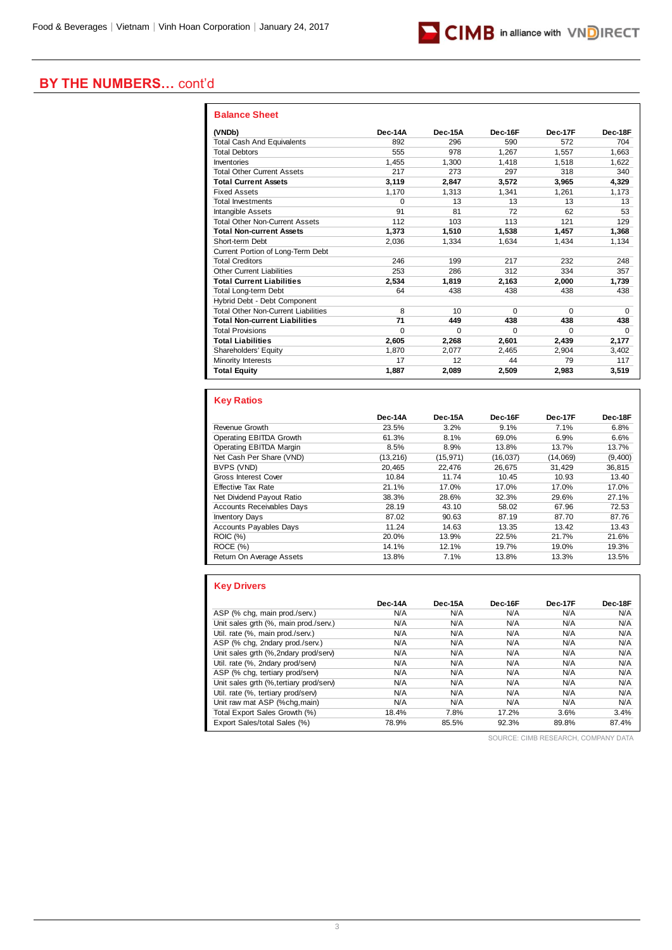

# **BY THE NUMBERS…** cont'd

| <b>Balance Sheet</b>                       |          |          |          |          |          |
|--------------------------------------------|----------|----------|----------|----------|----------|
| (VNDb)                                     | Dec-14A  | Dec-15A  | Dec-16F  | Dec-17F  | Dec-18F  |
| <b>Total Cash And Equivalents</b>          | 892      | 296      | 590      | 572      | 704      |
| <b>Total Debtors</b>                       | 555      | 978      | 1.267    | 1.557    | 1.663    |
| Inventories                                | 1.455    | 1.300    | 1.418    | 1.518    | 1,622    |
| <b>Total Other Current Assets</b>          | 217      | 273      | 297      | 318      | 340      |
| <b>Total Current Assets</b>                | 3,119    | 2.847    | 3,572    | 3.965    | 4,329    |
| <b>Fixed Assets</b>                        | 1,170    | 1.313    | 1.341    | 1,261    | 1,173    |
| <b>Total Investments</b>                   | $\Omega$ | 13       | 13       | 13       | 13       |
| <b>Intangible Assets</b>                   | 91       | 81       | 72       | 62       | 53       |
| <b>Total Other Non-Current Assets</b>      | 112      | 103      | 113      | 121      | 129      |
| <b>Total Non-current Assets</b>            | 1.373    | 1.510    | 1,538    | 1,457    | 1,368    |
| Short-term Debt                            | 2.036    | 1,334    | 1.634    | 1.434    | 1,134    |
| Current Portion of Long-Term Debt          |          |          |          |          |          |
| <b>Total Creditors</b>                     | 246      | 199      | 217      | 232      | 248      |
| <b>Other Current Liabilities</b>           | 253      | 286      | 312      | 334      | 357      |
| <b>Total Current Liabilities</b>           | 2,534    | 1,819    | 2.163    | 2.000    | 1,739    |
| <b>Total Long-term Debt</b>                | 64       | 438      | 438      | 438      | 438      |
| Hybrid Debt - Debt Component               |          |          |          |          |          |
| <b>Total Other Non-Current Liabilities</b> | 8        | 10       | $\Omega$ | $\Omega$ | $\Omega$ |
| <b>Total Non-current Liabilities</b>       | 71       | 449      | 438      | 438      | 438      |
| <b>Total Provisions</b>                    | $\Omega$ | $\Omega$ | $\Omega$ | $\Omega$ | 0        |
| <b>Total Liabilities</b>                   | 2.605    | 2,268    | 2.601    | 2.439    | 2,177    |
| Shareholders' Equity                       | 1,870    | 2,077    | 2.465    | 2,904    | 3,402    |
| Minority Interests                         | 17       | 12       | 44       | 79       | 117      |
| <b>Total Equity</b>                        | 1.887    | 2,089    | 2,509    | 2,983    | 3,519    |

### **Key Ratios**

|                                  | Dec-14A   | Dec-15A   | Dec-16F   | Dec-17F  | Dec-18F |
|----------------------------------|-----------|-----------|-----------|----------|---------|
| Revenue Growth                   | 23.5%     | 3.2%      | 9.1%      | 7.1%     | 6.8%    |
| Operating EBITDA Growth          | 61.3%     | 8.1%      | 69.0%     | 6.9%     | 6.6%    |
| Operating EBITDA Margin          | 8.5%      | 8.9%      | 13.8%     | 13.7%    | 13.7%   |
| Net Cash Per Share (VND)         | (13, 216) | (15, 971) | (16, 037) | (14.069) | (9,400) |
| BVPS (VND)                       | 20.465    | 22.476    | 26.675    | 31,429   | 36,815  |
| Gross Interest Cover             | 10.84     | 11.74     | 10.45     | 10.93    | 13.40   |
| <b>Effective Tax Rate</b>        | 21.1%     | 17.0%     | 17.0%     | 17.0%    | 17.0%   |
| Net Dividend Payout Ratio        | 38.3%     | 28.6%     | 32.3%     | 29.6%    | 27.1%   |
| <b>Accounts Receivables Days</b> | 28.19     | 43.10     | 58.02     | 67.96    | 72.53   |
| <b>Inventory Days</b>            | 87.02     | 90.63     | 87.19     | 87.70    | 87.76   |
| <b>Accounts Payables Days</b>    | 11.24     | 14.63     | 13.35     | 13.42    | 13.43   |
| <b>ROIC (%)</b>                  | 20.0%     | 13.9%     | 22.5%     | 21.7%    | 21.6%   |
| ROCE(%)                          | 14.1%     | 12.1%     | 19.7%     | 19.0%    | 19.3%   |
| Return On Average Assets         | 13.8%     | 7.1%      | 13.8%     | 13.3%    | 13.5%   |

### **Key Drivers**

|                                         | Dec-14A | Dec-15A | Dec-16F | Dec-17F | Dec-18F |
|-----------------------------------------|---------|---------|---------|---------|---------|
| ASP (% chq, main prod./serv.)           | N/A     | N/A     | N/A     | N/A     | N/A     |
| Unit sales grth (%, main prod./serv.)   | N/A     | N/A     | N/A     | N/A     | N/A     |
| Util. rate (%, main prod./serv.)        | N/A     | N/A     | N/A     | N/A     | N/A     |
| ASP (% chq, 2ndary prod./serv.)         | N/A     | N/A     | N/A     | N/A     | N/A     |
| Unit sales grth (%,2ndary prod/serv)    | N/A     | N/A     | N/A     | N/A     | N/A     |
| Util. rate (%, 2ndary prod/serv)        | N/A     | N/A     | N/A     | N/A     | N/A     |
| ASP (% chg, tertiary prod/serv)         | N/A     | N/A     | N/A     | N/A     | N/A     |
| Unit sales grth (%, tertiary prod/serv) | N/A     | N/A     | N/A     | N/A     | N/A     |
| Util. rate (%, tertiary prod/serv)      | N/A     | N/A     | N/A     | N/A     | N/A     |
| Unit raw mat ASP (%chq, main)           | N/A     | N/A     | N/A     | N/A     | N/A     |
| Total Export Sales Growth (%)           | 18.4%   | 7.8%    | 17.2%   | 3.6%    | 3.4%    |
| Export Sales/total Sales (%)            | 78.9%   | 85.5%   | 92.3%   | 89.8%   | 87.4%   |

SOURCE: CIMB RESEARCH, COMPANY DATA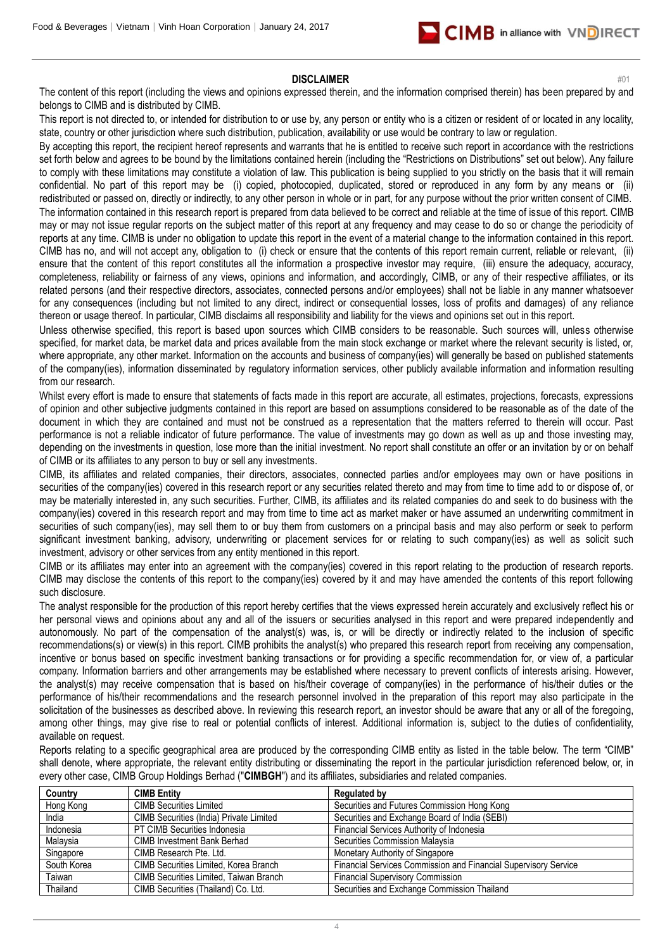

#### **DISCLAIMER** #01

The content of this report (including the views and opinions expressed therein, and the information comprised therein) has been prepared by and belongs to CIMB and is distributed by CIMB.

This report is not directed to, or intended for distribution to or use by, any person or entity who is a citizen or resident of or located in any locality, state, country or other jurisdiction where such distribution, publication, availability or use would be contrary to law or regulation.

By accepting this report, the recipient hereof represents and warrants that he is entitled to receive such report in accordance with the restrictions set forth below and agrees to be bound by the limitations contained herein (including the "Restrictions on Distributions" set out below). Any failure to comply with these limitations may constitute a violation of law. This publication is being supplied to you strictly on the basis that it will remain confidential. No part of this report may be (i) copied, photocopied, duplicated, stored or reproduced in any form by any means or (ii) redistributed or passed on, directly or indirectly, to any other person in whole or in part, for any purpose without the prior written consent of CIMB. The information contained in this research report is prepared from data believed to be correct and reliable at the time of issue of this report. CIMB may or may not issue regular reports on the subject matter of this report at any frequency and may cease to do so or change the periodicity of reports at any time. CIMB is under no obligation to update this report in the event of a material change to the information contained in this report. CIMB has no, and will not accept any, obligation to (i) check or ensure that the contents of this report remain current, reliable or relevant, (ii) ensure that the content of this report constitutes all the information a prospective investor may require, (iii) ensure the adequacy, accuracy, completeness, reliability or fairness of any views, opinions and information, and accordingly, CIMB, or any of their respective affiliates, or its related persons (and their respective directors, associates, connected persons and/or employees) shall not be liable in any manner whatsoever for any consequences (including but not limited to any direct, indirect or consequential losses, loss of profits and damages) of any reliance thereon or usage thereof. In particular, CIMB disclaims all responsibility and liability for the views and opinions set out in this report.

Unless otherwise specified, this report is based upon sources which CIMB considers to be reasonable. Such sources will, unless otherwise specified, for market data, be market data and prices available from the main stock exchange or market where the relevant security is listed, or, where appropriate, any other market. Information on the accounts and business of company(ies) will generally be based on published statements of the company(ies), information disseminated by regulatory information services, other publicly available information and information resulting from our research.

Whilst every effort is made to ensure that statements of facts made in this report are accurate, all estimates, projections, forecasts, expressions of opinion and other subjective judgments contained in this report are based on assumptions considered to be reasonable as of the date of the document in which they are contained and must not be construed as a representation that the matters referred to therein will occur. Past performance is not a reliable indicator of future performance. The value of investments may go down as well as up and those investing may, depending on the investments in question, lose more than the initial investment. No report shall constitute an offer or an invitation by or on behalf of CIMB or its affiliates to any person to buy or sell any investments.

CIMB, its affiliates and related companies, their directors, associates, connected parties and/or employees may own or have positions in securities of the company(ies) covered in this research report or any securities related thereto and may from time to time add to or dispose of, or may be materially interested in, any such securities. Further, CIMB, its affiliates and its related companies do and seek to do business with the company(ies) covered in this research report and may from time to time act as market maker or have assumed an underwriting commitment in securities of such company(ies), may sell them to or buy them from customers on a principal basis and may also perform or seek to perform significant investment banking, advisory, underwriting or placement services for or relating to such company(ies) as well as solicit such investment, advisory or other services from any entity mentioned in this report.

CIMB or its affiliates may enter into an agreement with the company(ies) covered in this report relating to the production of research reports. CIMB may disclose the contents of this report to the company(ies) covered by it and may have amended the contents of this report following such disclosure.

The analyst responsible for the production of this report hereby certifies that the views expressed herein accurately and exclusively reflect his or her personal views and opinions about any and all of the issuers or securities analysed in this report and were prepared independently and autonomously. No part of the compensation of the analyst(s) was, is, or will be directly or indirectly related to the inclusion of specific recommendations(s) or view(s) in this report. CIMB prohibits the analyst(s) who prepared this research report from receiving any compensation, incentive or bonus based on specific investment banking transactions or for providing a specific recommendation for, or view of, a particular company. Information barriers and other arrangements may be established where necessary to prevent conflicts of interests arising. However, the analyst(s) may receive compensation that is based on his/their coverage of company(ies) in the performance of his/their duties or the performance of his/their recommendations and the research personnel involved in the preparation of this report may also participate in the solicitation of the businesses as described above. In reviewing this research report, an investor should be aware that any or all of the foregoing, among other things, may give rise to real or potential conflicts of interest. Additional information is, subject to the duties of confidentiality, available on request.

Reports relating to a specific geographical area are produced by the corresponding CIMB entity as listed in the table below. The term "CIMB" shall denote, where appropriate, the relevant entity distributing or disseminating the report in the particular jurisdiction referenced below, or, in every other case, CIMB Group Holdings Berhad ("**CIMBGH**") and its affiliates, subsidiaries and related companies.

| Country     | <b>CIMB Entity</b>                      | <b>Regulated by</b>                                             |
|-------------|-----------------------------------------|-----------------------------------------------------------------|
| Hong Kong   | <b>CIMB Securities Limited</b>          | Securities and Futures Commission Hong Kong                     |
| India       | CIMB Securities (India) Private Limited | Securities and Exchange Board of India (SEBI)                   |
| Indonesia   | PT CIMB Securities Indonesia            | Financial Services Authority of Indonesia                       |
| Malaysia    | <b>CIMB Investment Bank Berhad</b>      | Securities Commission Malaysia                                  |
| Singapore   | CIMB Research Pte. Ltd.                 | Monetary Authority of Singapore                                 |
| South Korea | CIMB Securities Limited, Korea Branch   | Financial Services Commission and Financial Supervisory Service |
| Taiwan      | CIMB Securities Limited, Taiwan Branch  | <b>Financial Supervisory Commission</b>                         |
| Thailand    | CIMB Securities (Thailand) Co. Ltd.     | Securities and Exchange Commission Thailand                     |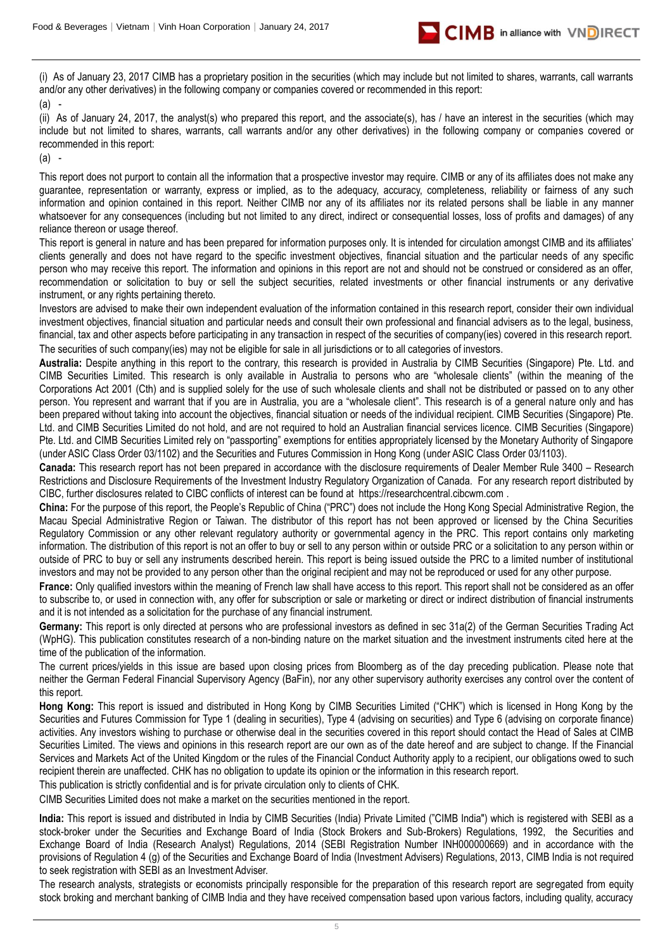

(i) As of January 23, 2017 CIMB has a proprietary position in the securities (which may include but not limited to shares, warrants, call warrants and/or any other derivatives) in the following company or companies covered or recommended in this report:

(a) -

(ii) As of January 24, 2017, the analyst(s) who prepared this report, and the associate(s), has / have an interest in the securities (which may include but not limited to shares, warrants, call warrants and/or any other derivatives) in the following company or companies covered or recommended in this report:

(a) -

This report does not purport to contain all the information that a prospective investor may require. CIMB or any of its affiliates does not make any guarantee, representation or warranty, express or implied, as to the adequacy, accuracy, completeness, reliability or fairness of any such information and opinion contained in this report. Neither CIMB nor any of its affiliates nor its related persons shall be liable in any manner whatsoever for any consequences (including but not limited to any direct, indirect or consequential losses, loss of profits and damages) of any reliance thereon or usage thereof.

This report is general in nature and has been prepared for information purposes only. It is intended for circulation amongst CIMB and its affiliates' clients generally and does not have regard to the specific investment objectives, financial situation and the particular needs of any specific person who may receive this report. The information and opinions in this report are not and should not be construed or considered as an offer, recommendation or solicitation to buy or sell the subject securities, related investments or other financial instruments or any derivative instrument, or any rights pertaining thereto.

Investors are advised to make their own independent evaluation of the information contained in this research report, consider their own individual investment objectives, financial situation and particular needs and consult their own professional and financial advisers as to the legal, business, financial, tax and other aspects before participating in any transaction in respect of the securities of company(ies) covered in this research report. The securities of such company(ies) may not be eligible for sale in all jurisdictions or to all categories of investors.

**Australia:** Despite anything in this report to the contrary, this research is provided in Australia by CIMB Securities (Singapore) Pte. Ltd. and CIMB Securities Limited. This research is only available in Australia to persons who are "wholesale clients" (within the meaning of the Corporations Act 2001 (Cth) and is supplied solely for the use of such wholesale clients and shall not be distributed or passed on to any other person. You represent and warrant that if you are in Australia, you are a "wholesale client". This research is of a general nature only and has been prepared without taking into account the objectives, financial situation or needs of the individual recipient. CIMB Securities (Singapore) Pte. Ltd. and CIMB Securities Limited do not hold, and are not required to hold an Australian financial services licence. CIMB Securities (Singapore) Pte. Ltd. and CIMB Securities Limited rely on "passporting" exemptions for entities appropriately licensed by the Monetary Authority of Singapore (under ASIC Class Order 03/1102) and the Securities and Futures Commission in Hong Kong (under ASIC Class Order 03/1103).

**Canada:** This research report has not been prepared in accordance with the disclosure requirements of Dealer Member Rule 3400 – Research Restrictions and Disclosure Requirements of the Investment Industry Regulatory Organization of Canada. For any research report distributed by CIBC, further disclosures related to CIBC conflicts of interest can be found at https://researchcentral.cibcwm.com .

**China:** For the purpose of this report, the People's Republic of China ("PRC") does not include the Hong Kong Special Administrative Region, the Macau Special Administrative Region or Taiwan. The distributor of this report has not been approved or licensed by the China Securities Regulatory Commission or any other relevant regulatory authority or governmental agency in the PRC. This report contains only marketing information. The distribution of this report is not an offer to buy or sell to any person within or outside PRC or a solicitation to any person within or outside of PRC to buy or sell any instruments described herein. This report is being issued outside the PRC to a limited number of institutional investors and may not be provided to any person other than the original recipient and may not be reproduced or used for any other purpose.

France: Only qualified investors within the meaning of French law shall have access to this report. This report shall not be considered as an offer to subscribe to, or used in connection with, any offer for subscription or sale or marketing or direct or indirect distribution of financial instruments and it is not intended as a solicitation for the purchase of any financial instrument.

**Germany:** This report is only directed at persons who are professional investors as defined in sec 31a(2) of the German Securities Trading Act (WpHG). This publication constitutes research of a non-binding nature on the market situation and the investment instruments cited here at the time of the publication of the information.

The current prices/yields in this issue are based upon closing prices from Bloomberg as of the day preceding publication. Please note that neither the German Federal Financial Supervisory Agency (BaFin), nor any other supervisory authority exercises any control over the content of this report.

**Hong Kong:** This report is issued and distributed in Hong Kong by CIMB Securities Limited ("CHK") which is licensed in Hong Kong by the Securities and Futures Commission for Type 1 (dealing in securities), Type 4 (advising on securities) and Type 6 (advising on corporate finance) activities. Any investors wishing to purchase or otherwise deal in the securities covered in this report should contact the Head of Sales at CIMB Securities Limited. The views and opinions in this research report are our own as of the date hereof and are subject to change. If the Financial Services and Markets Act of the United Kingdom or the rules of the Financial Conduct Authority apply to a recipient, our obligations owed to such recipient therein are unaffected. CHK has no obligation to update its opinion or the information in this research report.

This publication is strictly confidential and is for private circulation only to clients of CHK.

CIMB Securities Limited does not make a market on the securities mentioned in the report.

**India:** This report is issued and distributed in India by CIMB Securities (India) Private Limited ("CIMB India") which is registered with SEBI as a stock-broker under the Securities and Exchange Board of India (Stock Brokers and Sub-Brokers) Regulations, 1992, the Securities and Exchange Board of India (Research Analyst) Regulations, 2014 (SEBI Registration Number INH000000669) and in accordance with the provisions of Regulation 4 (g) of the Securities and Exchange Board of India (Investment Advisers) Regulations, 2013, CIMB India is not required to seek registration with SEBI as an Investment Adviser.

The research analysts, strategists or economists principally responsible for the preparation of this research report are segregated from equity stock broking and merchant banking of CIMB India and they have received compensation based upon various factors, including quality, accuracy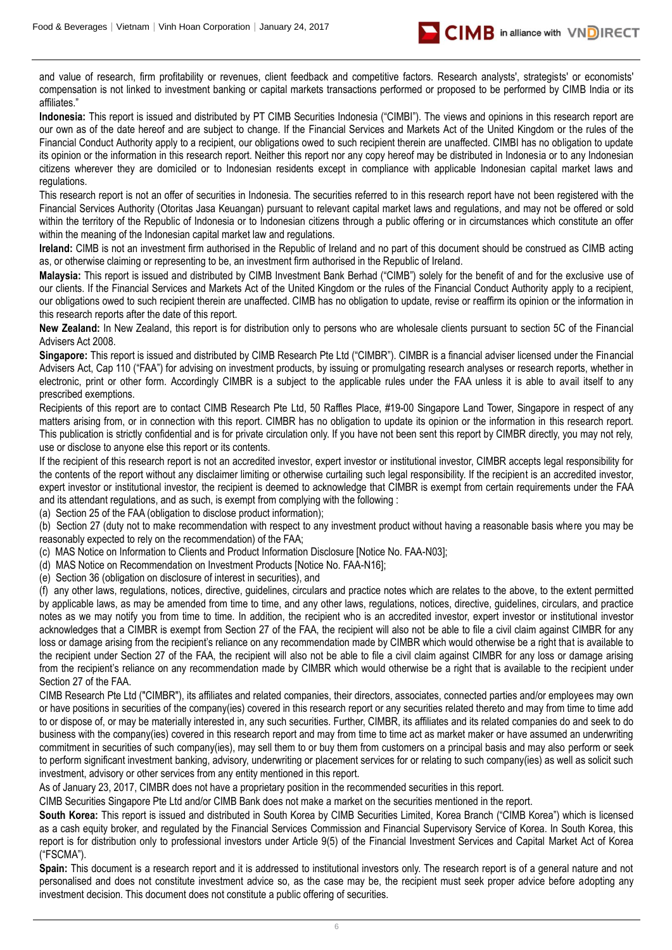

and value of research, firm profitability or revenues, client feedback and competitive factors. Research analysts', strategists' or economists' compensation is not linked to investment banking or capital markets transactions performed or proposed to be performed by CIMB India or its affiliates."

**Indonesia:** This report is issued and distributed by PT CIMB Securities Indonesia ("CIMBI"). The views and opinions in this research report are our own as of the date hereof and are subject to change. If the Financial Services and Markets Act of the United Kingdom or the rules of the Financial Conduct Authority apply to a recipient, our obligations owed to such recipient therein are unaffected. CIMBI has no obligation to update its opinion or the information in this research report. Neither this report nor any copy hereof may be distributed in Indonesia or to any Indonesian citizens wherever they are domiciled or to Indonesian residents except in compliance with applicable Indonesian capital market laws and regulations.

This research report is not an offer of securities in Indonesia. The securities referred to in this research report have not been registered with the Financial Services Authority (Otoritas Jasa Keuangan) pursuant to relevant capital market laws and regulations, and may not be offered or sold within the territory of the Republic of Indonesia or to Indonesian citizens through a public offering or in circumstances which constitute an offer within the meaning of the Indonesian capital market law and regulations.

**Ireland:** CIMB is not an investment firm authorised in the Republic of Ireland and no part of this document should be construed as CIMB acting as, or otherwise claiming or representing to be, an investment firm authorised in the Republic of Ireland.

**Malaysia:** This report is issued and distributed by CIMB Investment Bank Berhad ("CIMB") solely for the benefit of and for the exclusive use of our clients. If the Financial Services and Markets Act of the United Kingdom or the rules of the Financial Conduct Authority apply to a recipient, our obligations owed to such recipient therein are unaffected. CIMB has no obligation to update, revise or reaffirm its opinion or the information in this research reports after the date of this report.

**New Zealand:** In New Zealand, this report is for distribution only to persons who are wholesale clients pursuant to section 5C of the Financial Advisers Act 2008.

**Singapore:** This report is issued and distributed by CIMB Research Pte Ltd ("CIMBR"). CIMBR is a financial adviser licensed under the Financial Advisers Act, Cap 110 ("FAA") for advising on investment products, by issuing or promulgating research analyses or research reports, whether in electronic, print or other form. Accordingly CIMBR is a subject to the applicable rules under the FAA unless it is able to avail itself to any prescribed exemptions.

Recipients of this report are to contact CIMB Research Pte Ltd, 50 Raffles Place, #19-00 Singapore Land Tower, Singapore in respect of any matters arising from, or in connection with this report. CIMBR has no obligation to update its opinion or the information in this research report. This publication is strictly confidential and is for private circulation only. If you have not been sent this report by CIMBR directly, you may not rely, use or disclose to anyone else this report or its contents.

If the recipient of this research report is not an accredited investor, expert investor or institutional investor, CIMBR accepts legal responsibility for the contents of the report without any disclaimer limiting or otherwise curtailing such legal responsibility. If the recipient is an accredited investor, expert investor or institutional investor, the recipient is deemed to acknowledge that CIMBR is exempt from certain requirements under the FAA and its attendant regulations, and as such, is exempt from complying with the following :

(a) Section 25 of the FAA (obligation to disclose product information);

(b) Section 27 (duty not to make recommendation with respect to any investment product without having a reasonable basis where you may be reasonably expected to rely on the recommendation) of the FAA;

(c) MAS Notice on Information to Clients and Product Information Disclosure [Notice No. FAA-N03];

(d) MAS Notice on Recommendation on Investment Products [Notice No. FAA-N16];

(e) Section 36 (obligation on disclosure of interest in securities), and

(f) any other laws, regulations, notices, directive, guidelines, circulars and practice notes which are relates to the above, to the extent permitted by applicable laws, as may be amended from time to time, and any other laws, regulations, notices, directive, guidelines, circulars, and practice notes as we may notify you from time to time. In addition, the recipient who is an accredited investor, expert investor or institutional investor acknowledges that a CIMBR is exempt from Section 27 of the FAA, the recipient will also not be able to file a civil claim against CIMBR for any loss or damage arising from the recipient's reliance on any recommendation made by CIMBR which would otherwise be a right that is available to the recipient under Section 27 of the FAA, the recipient will also not be able to file a civil claim against CIMBR for any loss or damage arising from the recipient's reliance on any recommendation made by CIMBR which would otherwise be a right that is available to the recipient under Section 27 of the FAA.

CIMB Research Pte Ltd ("CIMBR"), its affiliates and related companies, their directors, associates, connected parties and/or employees may own or have positions in securities of the company(ies) covered in this research report or any securities related thereto and may from time to time add to or dispose of, or may be materially interested in, any such securities. Further, CIMBR, its affiliates and its related companies do and seek to do business with the company(ies) covered in this research report and may from time to time act as market maker or have assumed an underwriting commitment in securities of such company(ies), may sell them to or buy them from customers on a principal basis and may also perform or seek to perform significant investment banking, advisory, underwriting or placement services for or relating to such company(ies) as well as solicit such investment, advisory or other services from any entity mentioned in this report.

As of January 23, 2017, CIMBR does not have a proprietary position in the recommended securities in this report.

CIMB Securities Singapore Pte Ltd and/or CIMB Bank does not make a market on the securities mentioned in the report.

**South Korea:** This report is issued and distributed in South Korea by CIMB Securities Limited, Korea Branch ("CIMB Korea") which is licensed as a cash equity broker, and regulated by the Financial Services Commission and Financial Supervisory Service of Korea. In South Korea, this report is for distribution only to professional investors under Article 9(5) of the Financial Investment Services and Capital Market Act of Korea ("FSCMA").

**Spain:** This document is a research report and it is addressed to institutional investors only. The research report is of a general nature and not personalised and does not constitute investment advice so, as the case may be, the recipient must seek proper advice before adopting any investment decision. This document does not constitute a public offering of securities.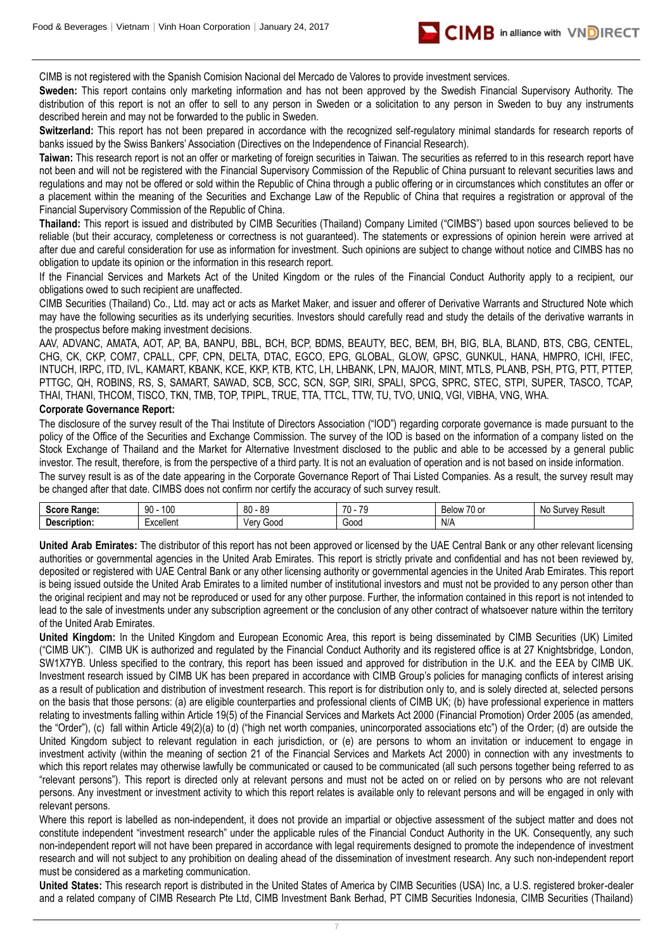

CIMB is not registered with the Spanish Comision Nacional del Mercado de Valores to provide investment services.

**Sweden:** This report contains only marketing information and has not been approved by the Swedish Financial Supervisory Authority. The distribution of this report is not an offer to sell to any person in Sweden or a solicitation to any person in Sweden to buy any instruments described herein and may not be forwarded to the public in Sweden.

Switzerland: This report has not been prepared in accordance with the recognized self-regulatory minimal standards for research reports of banks issued by the Swiss Bankers' Association (Directives on the Independence of Financial Research).

**Taiwan:** This research report is not an offer or marketing of foreign securities in Taiwan. The securities as referred to in this research report have not been and will not be registered with the Financial Supervisory Commission of the Republic of China pursuant to relevant securities laws and regulations and may not be offered or sold within the Republic of China through a public offering or in circumstances which constitutes an offer or a placement within the meaning of the Securities and Exchange Law of the Republic of China that requires a registration or approval of the Financial Supervisory Commission of the Republic of China.

**Thailand:** This report is issued and distributed by CIMB Securities (Thailand) Company Limited ("CIMBS") based upon sources believed to be reliable (but their accuracy, completeness or correctness is not guaranteed). The statements or expressions of opinion herein were arrived at after due and careful consideration for use as information for investment. Such opinions are subject to change without notice and CIMBS has no obligation to update its opinion or the information in this research report.

If the Financial Services and Markets Act of the United Kingdom or the rules of the Financial Conduct Authority apply to a recipient, our obligations owed to such recipient are unaffected.

CIMB Securities (Thailand) Co., Ltd. may act or acts as Market Maker, and issuer and offerer of Derivative Warrants and Structured Note which may have the following securities as its underlying securities. Investors should carefully read and study the details of the derivative warrants in the prospectus before making investment decisions.

AAV, ADVANC, AMATA, AOT, AP, BA, BANPU, BBL, BCH, BCP, BDMS, BEAUTY, BEC, BEM, BH, BIG, BLA, BLAND, BTS, CBG, CENTEL, CHG, CK, CKP, COM7, CPALL, CPF, CPN, DELTA, DTAC, EGCO, EPG, GLOBAL, GLOW, GPSC, GUNKUL, HANA, HMPRO, ICHI, IFEC, INTUCH, IRPC, ITD, IVL, KAMART, KBANK, KCE, KKP, KTB, KTC, LH, LHBANK, LPN, MAJOR, MINT, MTLS, PLANB, PSH, PTG, PTT, PTTEP, PTTGC, QH, ROBINS, RS, S, SAMART, SAWAD, SCB, SCC, SCN, SGP, SIRI, SPALI, SPCG, SPRC, STEC, STPI, SUPER, TASCO, TCAP, THAI, THANI, THCOM, TISCO, TKN, TMB, TOP, TPIPL, TRUE, TTA, TTCL, TTW, TU, TVO, UNIQ, VGI, VIBHA, VNG, WHA.

#### **Corporate Governance Report:**

The disclosure of the survey result of the Thai Institute of Directors Association ("IOD") regarding corporate governance is made pursuant to the policy of the Office of the Securities and Exchange Commission. The survey of the IOD is based on the information of a company listed on the Stock Exchange of Thailand and the Market for Alternative Investment disclosed to the public and able to be accessed by a general public investor. The result, therefore, is from the perspective of a third party. It is not an evaluation of operation and is not based on inside information.

The survey result is as of the date appearing in the Corporate Governance Report of Thai Listed Companies. As a result, the survey result may be changed after that date. CIMBS does not confirm nor certify the accuracy of such survey result.

| $S_{\text{max}}$<br><b>DARAA</b><br>Ranue | ۱n٢<br>$90 -$<br>טעי | 89<br>.on<br>υv     | -70<br>--<br>$^{\prime}$<br>. . | $\sim$<br>Below<br>וט טו | .No<br>≺esult<br>10101<br>'Ve.<br>ັ |
|-------------------------------------------|----------------------|---------------------|---------------------------------|--------------------------|-------------------------------------|
| <br>υe<br>scription.                      | ≞xcellent            | Gooc<br>۱/۵۳<br>וטי | Good                            | N/A                      |                                     |

**United Arab Emirates:** The distributor of this report has not been approved or licensed by the UAE Central Bank or any other relevant licensing authorities or governmental agencies in the United Arab Emirates. This report is strictly private and confidential and has not been reviewed by, deposited or registered with UAE Central Bank or any other licensing authority or governmental agencies in the United Arab Emirates. This report is being issued outside the United Arab Emirates to a limited number of institutional investors and must not be provided to any person other than the original recipient and may not be reproduced or used for any other purpose. Further, the information contained in this report is not intended to lead to the sale of investments under any subscription agreement or the conclusion of any other contract of whatsoever nature within the territory of the United Arab Emirates.

**United Kingdom:** In the United Kingdom and European Economic Area, this report is being disseminated by CIMB Securities (UK) Limited ("CIMB UK"). CIMB UK is authorized and regulated by the Financial Conduct Authority and its registered office is at 27 Knightsbridge, London, SW1X7YB. Unless specified to the contrary, this report has been issued and approved for distribution in the U.K. and the EEA by CIMB UK. Investment research issued by CIMB UK has been prepared in accordance with CIMB Group's policies for managing conflicts of interest arising as a result of publication and distribution of investment research. This report is for distribution only to, and is solely directed at, selected persons on the basis that those persons: (a) are eligible counterparties and professional clients of CIMB UK; (b) have professional experience in matters relating to investments falling within Article 19(5) of the Financial Services and Markets Act 2000 (Financial Promotion) Order 2005 (as amended, the "Order"), (c) fall within Article 49(2)(a) to (d) ("high net worth companies, unincorporated associations etc") of the Order; (d) are outside the United Kingdom subject to relevant regulation in each jurisdiction, or (e) are persons to whom an invitation or inducement to engage in investment activity (within the meaning of section 21 of the Financial Services and Markets Act 2000) in connection with any investments to which this report relates may otherwise lawfully be communicated or caused to be communicated (all such persons together being referred to as "relevant persons"). This report is directed only at relevant persons and must not be acted on or relied on by persons who are not relevant persons. Any investment or investment activity to which this report relates is available only to relevant persons and will be engaged in only with relevant persons.

Where this report is labelled as non-independent, it does not provide an impartial or objective assessment of the subject matter and does not constitute independent "investment research" under the applicable rules of the Financial Conduct Authority in the UK. Consequently, any such non-independent report will not have been prepared in accordance with legal requirements designed to promote the independence of investment research and will not subject to any prohibition on dealing ahead of the dissemination of investment research. Any such non-independent report must be considered as a marketing communication.

**United States:** This research report is distributed in the United States of America by CIMB Securities (USA) Inc, a U.S. registered broker-dealer and a related company of CIMB Research Pte Ltd, CIMB Investment Bank Berhad, PT CIMB Securities Indonesia, CIMB Securities (Thailand)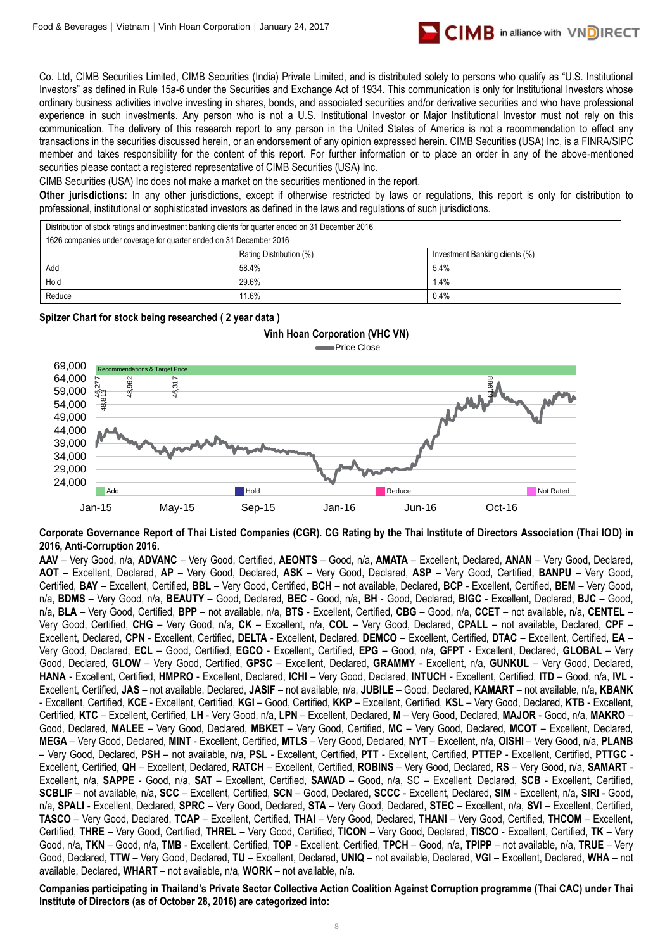

Co. Ltd, CIMB Securities Limited, CIMB Securities (India) Private Limited, and is distributed solely to persons who qualify as "U.S. Institutional Investors" as defined in Rule 15a-6 under the Securities and Exchange Act of 1934. This communication is only for Institutional Investors whose ordinary business activities involve investing in shares, bonds, and associated securities and/or derivative securities and who have professional experience in such investments. Any person who is not a U.S. Institutional Investor or Major Institutional Investor must not rely on this communication. The delivery of this research report to any person in the United States of America is not a recommendation to effect any transactions in the securities discussed herein, or an endorsement of any opinion expressed herein. CIMB Securities (USA) Inc, is a FINRA/SIPC member and takes responsibility for the content of this report. For further information or to place an order in any of the above-mentioned securities please contact a registered representative of CIMB Securities (USA) Inc.

CIMB Securities (USA) Inc does not make a market on the securities mentioned in the report.

**Other jurisdictions:** In any other jurisdictions, except if otherwise restricted by laws or regulations, this report is only for distribution to professional, institutional or sophisticated investors as defined in the laws and regulations of such jurisdictions.

Add 58.4% 5.4% Hold 29.6% 1.4% Reduce 10.4% 11.6% and 11.6% 11.6% and 11.6% and 11.6% and 11.6% and 11.6% and 11.6% and 11.6% and 1 Distribution of stock ratings and investment banking clients for quarter ended on 31 December 2016 1626 companies under coverage for quarter ended on 31 December 2016

### **Spitzer Chart for stock being researched ( 2 year data )**



**Corporate Governance Report of Thai Listed Companies (CGR). CG Rating by the Thai Institute of Directors Association (Thai IOD) in 2016, Anti-Corruption 2016.**

**AAV** – Very Good, n/a, **ADVANC** – Very Good, Certified, **AEONTS** – Good, n/a, **AMATA** – Excellent, Declared, **ANAN** – Very Good, Declared, **AOT** – Excellent, Declared, **AP** – Very Good, Declared, **ASK** – Very Good, Declared, **ASP** – Very Good, Certified, **BANPU** – Very Good, Certified, **BAY** – Excellent, Certified, **BBL** – Very Good, Certified, **BCH** – not available, Declared, **BCP** - Excellent, Certified, **BEM** – Very Good, n/a, **BDMS** – Very Good, n/a, **BEAUTY** – Good, Declared, **BEC** - Good, n/a, **BH** - Good, Declared, **BIGC** - Excellent, Declared, **BJC** – Good, n/a, **BLA** – Very Good, Certified, **BPP** – not available, n/a, **BTS** - Excellent, Certified, **CBG** – Good, n/a, **CCET** – not available, n/a, **CENTEL** – Very Good, Certified, **CHG** – Very Good, n/a, **CK** – Excellent, n/a, **COL** – Very Good, Declared, **CPALL** – not available, Declared, **CPF** – Excellent, Declared, **CPN** - Excellent, Certified, **DELTA** - Excellent, Declared, **DEMCO** – Excellent, Certified, **DTAC** – Excellent, Certified, **EA** – Very Good, Declared, **ECL** – Good, Certified, **EGCO** - Excellent, Certified, **EPG** – Good, n/a, **GFPT** - Excellent, Declared, **GLOBAL** – Very Good, Declared, **GLOW** – Very Good, Certified, **GPSC** – Excellent, Declared, **GRAMMY** - Excellent, n/a, **GUNKUL** – Very Good, Declared, **HANA** - Excellent, Certified, **HMPRO** - Excellent, Declared, **ICHI** – Very Good, Declared, **INTUCH** - Excellent, Certified, **ITD** – Good, n/a, **IVL** - Excellent, Certified, **JAS** – not available, Declared, **JASIF** – not available, n/a, **JUBILE** – Good, Declared, **KAMART** – not available, n/a, **KBANK** - Excellent, Certified, **KCE** - Excellent, Certified, **KGI** – Good, Certified, **KKP** – Excellent, Certified, **KSL** – Very Good, Declared, **KTB** - Excellent, Certified, **KTC** – Excellent, Certified, **LH** - Very Good, n/a, **LPN** – Excellent, Declared, **M** – Very Good, Declared, **MAJOR** - Good, n/a, **MAKRO** – Good, Declared, **MALEE** – Very Good, Declared, **MBKET** – Very Good, Certified, **MC** – Very Good, Declared, **MCOT** – Excellent, Declared, **MEGA** – Very Good, Declared, **MINT** - Excellent, Certified, **MTLS** – Very Good, Declared, **NYT** – Excellent, n/a, **OISHI** – Very Good, n/a, **PLANB** – Very Good, Declared, **PSH** – not available, n/a, **PSL** - Excellent, Certified, **PTT** - Excellent, Certified, **PTTEP** - Excellent, Certified, **PTTGC** - Excellent, Certified, **QH** – Excellent, Declared, **RATCH** – Excellent, Certified, **ROBINS** – Very Good, Declared, **RS** – Very Good, n/a, **SAMART** - Excellent, n/a, **SAPPE** - Good, n/a, **SAT** – Excellent, Certified, **SAWAD** – Good, n/a, SC – Excellent, Declared, **SCB** - Excellent, Certified, **SCBLIF** – not available, n/a, **SCC** – Excellent, Certified, **SCN** – Good, Declared, **SCCC** - Excellent, Declared, **SIM** - Excellent, n/a, **SIRI** - Good, n/a, **SPALI** - Excellent, Declared, **SPRC** – Very Good, Declared, **STA** – Very Good, Declared, **STEC** – Excellent, n/a, **SVI** – Excellent, Certified, **TASCO** – Very Good, Declared, **TCAP** – Excellent, Certified, **THAI** – Very Good, Declared, **THANI** – Very Good, Certified, **THCOM** – Excellent, Certified, **THRE** – Very Good, Certified, **THREL** – Very Good, Certified, **TICON** – Very Good, Declared, **TISCO** - Excellent, Certified, **TK** – Very Good, n/a, **TKN** – Good, n/a, **TMB** - Excellent, Certified, **TOP** - Excellent, Certified, **TPCH** – Good, n/a, **TPIPP** – not available, n/a, **TRUE** – Very Good, Declared, **TTW** – Very Good, Declared, **TU** – Excellent, Declared, **UNIQ** – not available, Declared, **VGI** – Excellent, Declared, **WHA** – not available, Declared, **WHART** – not available, n/a, **WORK** – not available, n/a. **Institute of Directors (as of October 28, 2016)**<br> **Institute of Directors (as of October 28, 2016)**<br> **Institute of Directors (as of October 28, 2016)**<br> **Institute of Directors (as of October 28, 2016)**<br> **Institute of Dir** 

**Companies participating in Thailand's Private Sector Collective Action Coalition Against Corruption programme (Thai CAC) under Thai** 

8